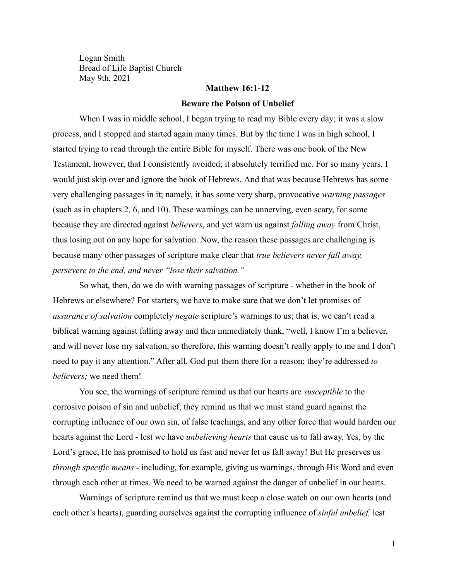Logan Smith Bread of Life Baptist Church May 9th, 2021

#### **Matthew 16:1-12**

#### **Beware the Poison of Unbelief**

When I was in middle school, I began trying to read my Bible every day; it was a slow process, and I stopped and started again many times. But by the time I was in high school, I started trying to read through the entire Bible for myself. There was one book of the New Testament, however, that I consistently avoided; it absolutely terrified me. For so many years, I would just skip over and ignore the book of Hebrews. And that was because Hebrews has some very challenging passages in it; namely, it has some very sharp, provocative *warning passages* (such as in chapters 2, 6, and 10). These warnings can be unnerving, even scary, for some because they are directed against *believers*, and yet warn us against *falling away* from Christ, thus losing out on any hope for salvation. Now, the reason these passages are challenging is because many other passages of scripture make clear that *true believers never fall away, persevere to the end, and never "lose their salvation."*

So what, then, do we do with warning passages of scripture - whether in the book of Hebrews or elsewhere? For starters, we have to make sure that we don't let promises of *assurance of salvation* completely *negate* scripture's warnings to us; that is, we can't read a biblical warning against falling away and then immediately think, "well, I know I'm a believer, and will never lose my salvation, so therefore, this warning doesn't really apply to me and I don't need to pay it any attention." After all, God put them there for a reason; they're addressed *to believers;* we need them!

You see, the warnings of scripture remind us that our hearts are *susceptible* to the corrosive poison of sin and unbelief; they remind us that we must stand guard against the corrupting influence of our own sin, of false teachings, and any other force that would harden our hearts against the Lord - lest we have *unbelieving hearts* that cause us to fall away. Yes, by the Lord's grace, He has promised to hold us fast and never let us fall away! But He preserves us *through specific means -* including, for example, giving us warnings, through His Word and even through each other at times. We need to be warned against the danger of unbelief in our hearts.

Warnings of scripture remind us that we must keep a close watch on our own hearts (and each other's hearts), guarding ourselves against the corrupting influence of *sinful unbelief,* lest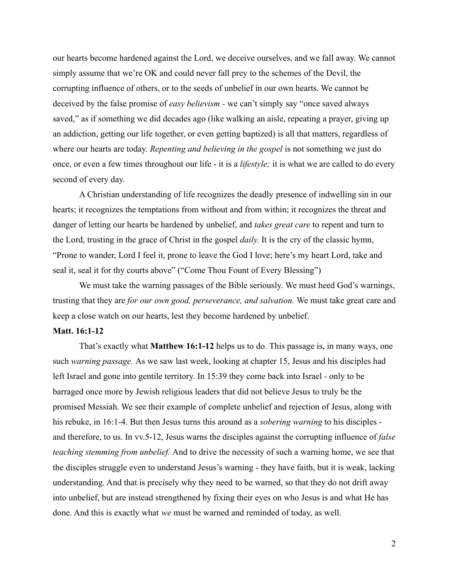our hearts become hardened against the Lord, we deceive ourselves, and we fall away. We cannot simply assume that we're OK and could never fall prey to the schemes of the Devil, the corrupting influence of others, or to the seeds of unbelief in our own hearts. We cannot be deceived by the false promise of *easy believism -* we can't simply say "once saved always saved," as if something we did decades ago (like walking an aisle, repeating a prayer, giving up an addiction, getting our life together, or even getting baptized) is all that matters, regardless of where our hearts are today. *Repenting and believing in the gospel* is not something we just do once, or even a few times throughout our life - it is a *lifestyle;* it is what we are called to do every second of every day.

A Christian understanding of life recognizes the deadly presence of indwelling sin in our hearts; it recognizes the temptations from without and from within; it recognizes the threat and danger of letting our hearts be hardened by unbelief, and *takes great care* to repent and turn to the Lord, trusting in the grace of Christ in the gospel *daily.* It is the cry of the classic hymn, "Prone to wander, Lord I feel it, prone to leave the God I love; here's my heart Lord, take and seal it, seal it for thy courts above" ("Come Thou Fount of Every Blessing")

We must take the warning passages of the Bible seriously. We must heed God's warnings, trusting that they are *for our own good, perseverance, and salvation.* We must take great care and keep a close watch on our hearts, lest they become hardened by unbelief.

### **Matt. 16:1-12**

That's exactly what **Matthew 16:1-12** helps us to do. This passage is, in many ways, one such *warning passage.* As we saw last week, looking at chapter 15, Jesus and his disciples had left Israel and gone into gentile territory. In 15:39 they come back into Israel - only to be barraged once more by Jewish religious leaders that did not believe Jesus to truly be the promised Messiah. We see their example of complete unbelief and rejection of Jesus, along with his rebuke, in 16:1-4. But then Jesus turns this around as a *sobering warning* to his disciples and therefore, to us. In vv.5-12, Jesus warns the disciples against the corrupting influence of *false teaching stemming from unbelief.* And to drive the necessity of such a warning home, we see that the disciples struggle even to understand Jesus's warning - they have faith, but it is weak, lacking understanding. And that is precisely why they need to be warned, so that they do not drift away into unbelief, but are instead strengthened by fixing their eyes on who Jesus is and what He has done. And this is exactly what *we* must be warned and reminded of today, as well.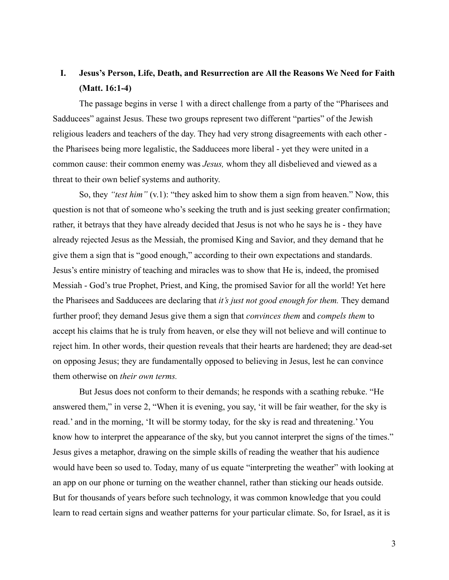# **I. Jesus's Person, Life, Death, and Resurrection are All the Reasons We Need for Faith (Matt. 16:1-4)**

The passage begins in verse 1 with a direct challenge from a party of the "Pharisees and Sadducees" against Jesus. These two groups represent two different "parties" of the Jewish religious leaders and teachers of the day. They had very strong disagreements with each other the Pharisees being more legalistic, the Sadducees more liberal - yet they were united in a common cause: their common enemy was *Jesus,* whom they all disbelieved and viewed as a threat to their own belief systems and authority.

So, they *"test him"* (v.1): "they asked him to show them a sign from heaven." Now, this question is not that of someone who's seeking the truth and is just seeking greater confirmation; rather, it betrays that they have already decided that Jesus is not who he says he is - they have already rejected Jesus as the Messiah, the promised King and Savior, and they demand that he give them a sign that is "good enough," according to their own expectations and standards. Jesus's entire ministry of teaching and miracles was to show that He is, indeed, the promised Messiah - God's true Prophet, Priest, and King, the promised Savior for all the world! Yet here the Pharisees and Sadducees are declaring that *it's just not good enough for them.* They demand further proof; they demand Jesus give them a sign that *convinces them* and *compels them* to accept his claims that he is truly from heaven, or else they will not believe and will continue to reject him. In other words, their question reveals that their hearts are hardened; they are dead-set on opposing Jesus; they are fundamentally opposed to believing in Jesus, lest he can convince them otherwise on *their own terms.*

But Jesus does not conform to their demands; he responds with a scathing rebuke. "He answered them," in verse 2, "When it is evening, you say, 'it will be fair weather, for the sky is read.' and in the morning, 'It will be stormy today, for the sky is read and threatening.' You know how to interpret the appearance of the sky, but you cannot interpret the signs of the times." Jesus gives a metaphor, drawing on the simple skills of reading the weather that his audience would have been so used to. Today, many of us equate "interpreting the weather" with looking at an app on our phone or turning on the weather channel, rather than sticking our heads outside. But for thousands of years before such technology, it was common knowledge that you could learn to read certain signs and weather patterns for your particular climate. So, for Israel, as it is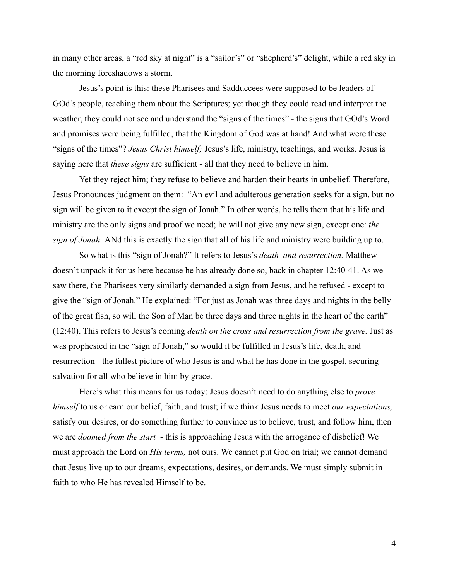in many other areas, a "red sky at night" is a "sailor's" or "shepherd's" delight, while a red sky in the morning foreshadows a storm.

Jesus's point is this: these Pharisees and Sadduccees were supposed to be leaders of GOd's people, teaching them about the Scriptures; yet though they could read and interpret the weather, they could not see and understand the "signs of the times" - the signs that GOd's Word and promises were being fulfilled, that the Kingdom of God was at hand! And what were these "signs of the times"? *Jesus Christ himself;* Jesus's life, ministry, teachings, and works. Jesus is saying here that *these signs* are sufficient - all that they need to believe in him.

Yet they reject him; they refuse to believe and harden their hearts in unbelief. Therefore, Jesus Pronounces judgment on them: "An evil and adulterous generation seeks for a sign, but no sign will be given to it except the sign of Jonah." In other words, he tells them that his life and ministry are the only signs and proof we need; he will not give any new sign, except one: *the sign of Jonah.* ANd this is exactly the sign that all of his life and ministry were building up to.

So what is this "sign of Jonah?" It refers to Jesus's *death and resurrection.* Matthew doesn't unpack it for us here because he has already done so, back in chapter 12:40-41. As we saw there, the Pharisees very similarly demanded a sign from Jesus, and he refused - except to give the "sign of Jonah." He explained: "For just as Jonah was three days and nights in the belly of the great fish, so will the Son of Man be three days and three nights in the heart of the earth" (12:40). This refers to Jesus's coming *death on the cross and resurrection from the grave.* Just as was prophesied in the "sign of Jonah," so would it be fulfilled in Jesus's life, death, and resurrection - the fullest picture of who Jesus is and what he has done in the gospel, securing salvation for all who believe in him by grace.

Here's what this means for us today: Jesus doesn't need to do anything else to *prove himself* to us or earn our belief, faith, and trust; if we think Jesus needs to meet *our expectations,* satisfy our desires, or do something further to convince us to believe, trust, and follow him, then we are *doomed from the start* - this is approaching Jesus with the arrogance of disbelief! We must approach the Lord on *His terms,* not ours. We cannot put God on trial; we cannot demand that Jesus live up to our dreams, expectations, desires, or demands. We must simply submit in faith to who He has revealed Himself to be.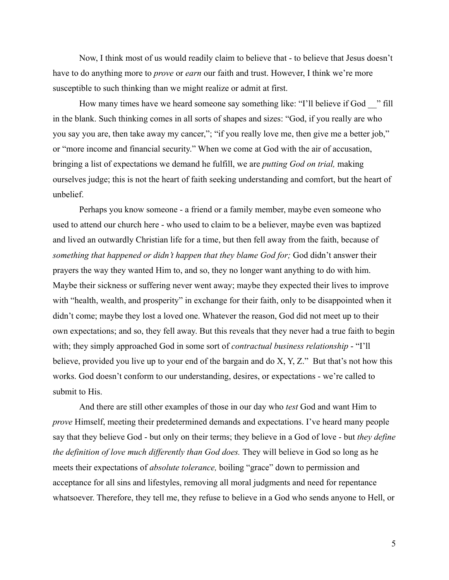Now, I think most of us would readily claim to believe that - to believe that Jesus doesn't have to do anything more to *prove* or *earn* our faith and trust. However, I think we're more susceptible to such thinking than we might realize or admit at first.

How many times have we heard someone say something like: "I'll believe if God — " fill in the blank. Such thinking comes in all sorts of shapes and sizes: "God, if you really are who you say you are, then take away my cancer,"; "if you really love me, then give me a better job," or "more income and financial security." When we come at God with the air of accusation, bringing a list of expectations we demand he fulfill, we are *putting God on trial,* making ourselves judge; this is not the heart of faith seeking understanding and comfort, but the heart of unbelief.

Perhaps you know someone - a friend or a family member, maybe even someone who used to attend our church here - who used to claim to be a believer, maybe even was baptized and lived an outwardly Christian life for a time, but then fell away from the faith, because of *something that happened or didn't happen that they blame God for;* God didn't answer their prayers the way they wanted Him to, and so, they no longer want anything to do with him. Maybe their sickness or suffering never went away; maybe they expected their lives to improve with "health, wealth, and prosperity" in exchange for their faith, only to be disappointed when it didn't come; maybe they lost a loved one. Whatever the reason, God did not meet up to their own expectations; and so, they fell away. But this reveals that they never had a true faith to begin with; they simply approached God in some sort of *contractual business relationship* - "I'll believe, provided you live up to your end of the bargain and do X, Y, Z." But that's not how this works. God doesn't conform to our understanding, desires, or expectations - we're called to submit to His.

And there are still other examples of those in our day who *test* God and want Him to *prove* Himself, meeting their predetermined demands and expectations. I've heard many people say that they believe God - but only on their terms; they believe in a God of love - but *they define the definition of love much differently than God does.* They will believe in God so long as he meets their expectations of *absolute tolerance,* boiling "grace" down to permission and acceptance for all sins and lifestyles, removing all moral judgments and need for repentance whatsoever. Therefore, they tell me, they refuse to believe in a God who sends anyone to Hell, or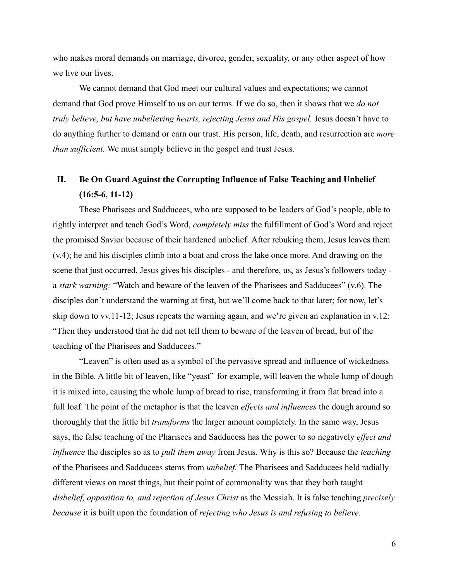who makes moral demands on marriage, divorce, gender, sexuality, or any other aspect of how we live our lives.

We cannot demand that God meet our cultural values and expectations; we cannot demand that God prove Himself to us on our terms. If we do so, then it shows that we *do not truly believe, but have unbelieving hearts, rejecting Jesus and His gospel.* Jesus doesn't have to do anything further to demand or earn our trust. His person, life, death, and resurrection are *more than sufficient.* We must simply believe in the gospel and trust Jesus.

## **II. Be On Guard Against the Corrupting Influence of False Teaching and Unbelief (16:5-6, 11-12)**

These Pharisees and Sadducees, who are supposed to be leaders of God's people, able to rightly interpret and teach God's Word, *completely miss* the fulfillment of God's Word and reject the promised Savior because of their hardened unbelief. After rebuking them, Jesus leaves them (v.4); he and his disciples climb into a boat and cross the lake once more. And drawing on the scene that just occurred, Jesus gives his disciples - and therefore, us, as Jesus's followers today a *stark warning:* "Watch and beware of the leaven of the Pharisees and Sadducees" (v.6). The disciples don't understand the warning at first, but we'll come back to that later; for now, let's skip down to vv.11-12; Jesus repeats the warning again, and we're given an explanation in v.12: "Then they understood that he did not tell them to beware of the leaven of bread, but of the teaching of the Pharisees and Sadducees."

"Leaven" is often used as a symbol of the pervasive spread and influence of wickedness in the Bible. A little bit of leaven, like "yeast" for example, will leaven the whole lump of dough it is mixed into, causing the whole lump of bread to rise, transforming it from flat bread into a full loaf. The point of the metaphor is that the leaven *effects and influences* the dough around so thoroughly that the little bit *transforms* the larger amount completely. In the same way, Jesus says, the false teaching of the Pharisees and Sadducess has the power to so negatively *effect and influence* the disciples so as to *pull them away* from Jesus. Why is this so? Because the *teaching* of the Pharisees and Sadducees stems from *unbelief.* The Pharisees and Sadducees held radially different views on most things, but their point of commonality was that they both taught *disbelief, opposition to, and rejection of Jesus Christ* as the Messiah. It is false teaching *precisely because* it is built upon the foundation of *rejecting who Jesus is and refusing to believe.*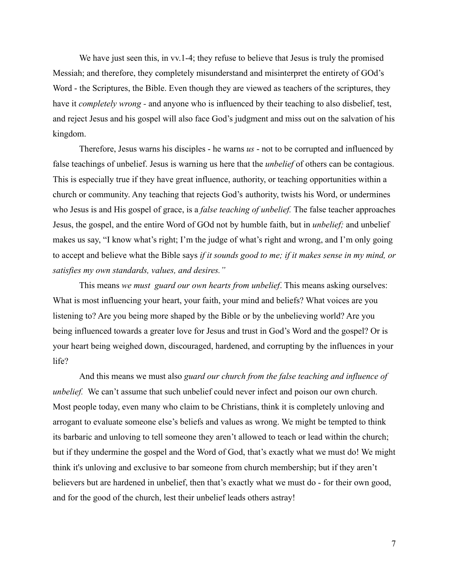We have just seen this, in vv.1-4; they refuse to believe that Jesus is truly the promised Messiah; and therefore, they completely misunderstand and misinterpret the entirety of GOd's Word - the Scriptures, the Bible. Even though they are viewed as teachers of the scriptures, they have it *completely wrong -* and anyone who is influenced by their teaching to also disbelief, test, and reject Jesus and his gospel will also face God's judgment and miss out on the salvation of his kingdom.

Therefore, Jesus warns his disciples - he warns *us* - not to be corrupted and influenced by false teachings of unbelief. Jesus is warning us here that the *unbelief* of others can be contagious. This is especially true if they have great influence, authority, or teaching opportunities within a church or community. Any teaching that rejects God's authority, twists his Word, or undermines who Jesus is and His gospel of grace, is a *false teaching of unbelief.* The false teacher approaches Jesus, the gospel, and the entire Word of GOd not by humble faith, but in *unbelief;* and unbelief makes us say, "I know what's right; I'm the judge of what's right and wrong, and I'm only going to accept and believe what the Bible says *if it sounds good to me; if it makes sense in my mind, or satisfies my own standards, values, and desires."*

This means *we must guard our own hearts from unbelief*. This means asking ourselves: What is most influencing your heart, your faith, your mind and beliefs? What voices are you listening to? Are you being more shaped by the Bible or by the unbelieving world? Are you being influenced towards a greater love for Jesus and trust in God's Word and the gospel? Or is your heart being weighed down, discouraged, hardened, and corrupting by the influences in your life?

And this means we must also *guard our church from the false teaching and influence of unbelief.* We can't assume that such unbelief could never infect and poison our own church. Most people today, even many who claim to be Christians, think it is completely unloving and arrogant to evaluate someone else's beliefs and values as wrong. We might be tempted to think its barbaric and unloving to tell someone they aren't allowed to teach or lead within the church; but if they undermine the gospel and the Word of God, that's exactly what we must do! We might think it's unloving and exclusive to bar someone from church membership; but if they aren't believers but are hardened in unbelief, then that's exactly what we must do - for their own good, and for the good of the church, lest their unbelief leads others astray!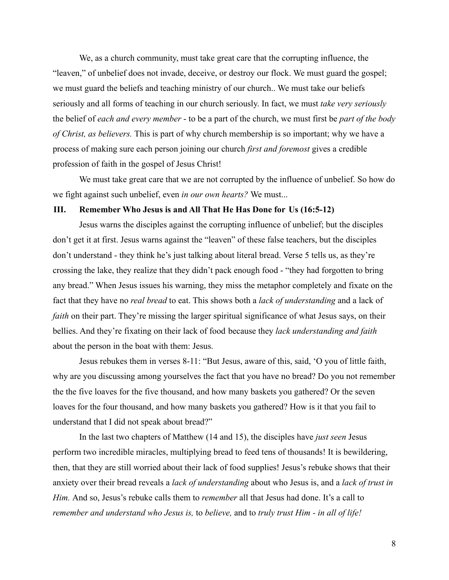We, as a church community, must take great care that the corrupting influence, the "leaven," of unbelief does not invade, deceive, or destroy our flock. We must guard the gospel; we must guard the beliefs and teaching ministry of our church.. We must take our beliefs seriously and all forms of teaching in our church seriously. In fact, we must *take very seriously* the belief of *each and every member* - to be a part of the church, we must first be *part of the body of Christ, as believers.* This is part of why church membership is so important; why we have a process of making sure each person joining our church *first and foremost* gives a credible profession of faith in the gospel of Jesus Christ!

We must take great care that we are not corrupted by the influence of unbelief. So how do we fight against such unbelief, even *in our own hearts?* We must...

### **III. Remember Who Jesus is and All That He Has Done for Us (16:5-12)**

Jesus warns the disciples against the corrupting influence of unbelief; but the disciples don't get it at first. Jesus warns against the "leaven" of these false teachers, but the disciples don't understand - they think he's just talking about literal bread. Verse 5 tells us, as they're crossing the lake, they realize that they didn't pack enough food - "they had forgotten to bring any bread." When Jesus issues his warning, they miss the metaphor completely and fixate on the fact that they have no *real bread* to eat. This shows both a *lack of understanding* and a lack of *faith* on their part. They're missing the larger spiritual significance of what Jesus says, on their bellies. And they're fixating on their lack of food because they *lack understanding and faith* about the person in the boat with them: Jesus.

Jesus rebukes them in verses 8-11: "But Jesus, aware of this, said, 'O you of little faith, why are you discussing among yourselves the fact that you have no bread? Do you not remember the the five loaves for the five thousand, and how many baskets you gathered? Or the seven loaves for the four thousand, and how many baskets you gathered? How is it that you fail to understand that I did not speak about bread?"

In the last two chapters of Matthew (14 and 15), the disciples have *just seen* Jesus perform two incredible miracles, multiplying bread to feed tens of thousands! It is bewildering, then, that they are still worried about their lack of food supplies! Jesus's rebuke shows that their anxiety over their bread reveals a *lack of understanding* about who Jesus is, and a *lack of trust in Him.* And so, Jesus's rebuke calls them to *remember* all that Jesus had done. It's a call to *remember and understand who Jesus is,* to *believe,* and to *truly trust Him - in all of life!*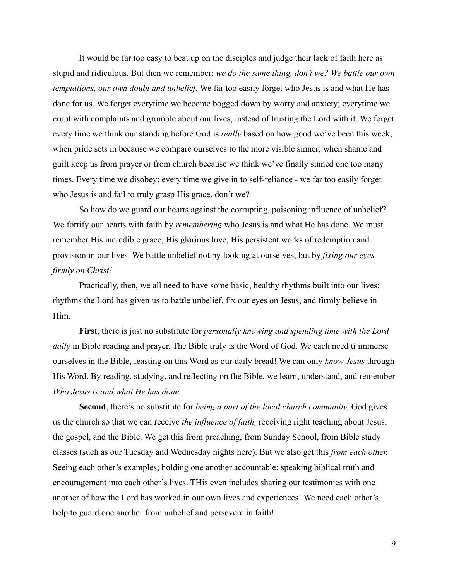It would be far too easy to beat up on the disciples and judge their lack of faith here as stupid and ridiculous. But then we remember: *we do the same thing, don't we? We battle our own temptations, our own doubt and unbelief.* We far too easily forget who Jesus is and what He has done for us. We forget everytime we become bogged down by worry and anxiety; everytime we erupt with complaints and grumble about our lives, instead of trusting the Lord with it. We forget every time we think our standing before God is *really* based on how good we've been this week; when pride sets in because we compare ourselves to the more visible sinner; when shame and guilt keep us from prayer or from church because we think we've finally sinned one too many times. Every time we disobey; every time we give in to self-reliance - we far too easily forget who Jesus is and fail to truly grasp His grace, don't we?

So how do we guard our hearts against the corrupting, poisoning influence of unbelief? We fortify our hearts with faith by *remembering* who Jesus is and what He has done. We must remember His incredible grace, His glorious love, His persistent works of redemption and provision in our lives. We battle unbelief not by looking at ourselves, but by *fixing our eyes firmly on Christ!*

Practically, then, we all need to have some basic, healthy rhythms built into our lives; rhythms the Lord has given us to battle unbelief, fix our eyes on Jesus, and firmly believe in Him.

**First**, there is just no substitute for *personally knowing and spending time with the Lord daily* in Bible reading and prayer. The Bible truly is the Word of God. We each need ti immerse ourselves in the Bible, feasting on this Word as our daily bread! We can only *know Jesus* through His Word. By reading, studying, and reflecting on the Bible, we learn, understand, and remember *Who Jesus is and what He has done.*

**Second**, there's no substitute for *being a part of the local church community.* God gives us the church so that we can receive *the influence of faith,* receiving right teaching about Jesus, the gospel, and the Bible. We get this from preaching, from Sunday School, from Bible study classes (such as our Tuesday and Wednesday nights here). But we also get this *from each other.* Seeing each other's examples; holding one another accountable; speaking biblical truth and encouragement into each other's lives. THis even includes sharing our testimonies with one another of how the Lord has worked in our own lives and experiences! We need each other's help to guard one another from unbelief and persevere in faith!